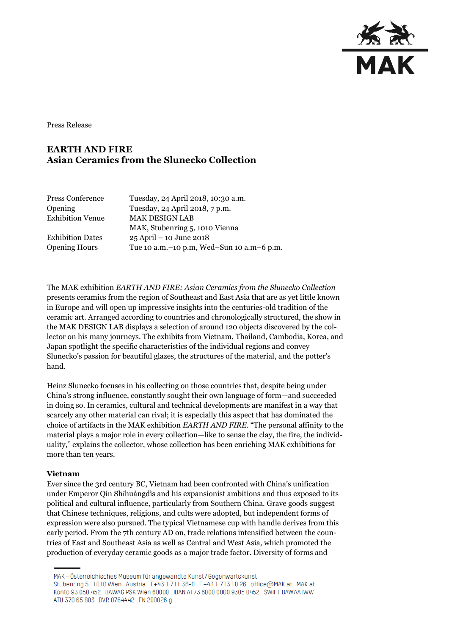

Press Release

# **EARTH AND FIRE Asian Ceramics from the Slunecko Collection**

| Press Conference        | Tuesday, 24 April 2018, 10:30 a.m.            |
|-------------------------|-----------------------------------------------|
| Opening                 | Tuesday, 24 April 2018, 7 p.m.                |
| <b>Exhibition Venue</b> | <b>MAK DESIGN LAB</b>                         |
|                         | MAK, Stubenring 5, 1010 Vienna                |
| <b>Exhibition Dates</b> | $25$ April – 10 June 2018                     |
| <b>Opening Hours</b>    | Tue 10 a.m. - 10 p.m, Wed-Sun 10 a.m - 6 p.m. |
|                         |                                               |

The MAK exhibition *EARTH AND FIRE: Asian Ceramics from the Slunecko Collection* presents ceramics from the region of Southeast and East Asia that are as yet little known in Europe and will open up impressive insights into the centuries-old tradition of the ceramic art. Arranged according to countries and chronologically structured, the show in the MAK DESIGN LAB displays a selection of around 120 objects discovered by the collector on his many journeys. The exhibits from Vietnam, Thailand, Cambodia, Korea, and Japan spotlight the specific characteristics of the individual regions and convey Slunecko's passion for beautiful glazes, the structures of the material, and the potter's hand.

Heinz Slunecko focuses in his collecting on those countries that, despite being under China's strong influence, constantly sought their own language of form—and succeeded in doing so. In ceramics, cultural and technical developments are manifest in a way that scarcely any other material can rival; it is especially this aspect that has dominated the choice of artifacts in the MAK exhibition *EARTH AND FIRE*. "The personal affinity to the material plays a major role in every collection—like to sense the clay, the fire, the individuality," explains the collector, whose collection has been enriching MAK exhibitions for more than ten years.

## **Vietnam**

Ever since the 3rd century BC, Vietnam had been confronted with China's unification under Emperor Qin Shǐhuángdìs and his expansionist ambitions and thus exposed to its political and cultural influence, particularly from Southern China. Grave goods suggest that Chinese techniques, religions, and cults were adopted, but independent forms of expression were also pursued. The typical Vietnamese cup with handle derives from this early period. From the 7th century AD on, trade relations intensified between the countries of East and Southeast Asia as well as Central and West Asia, which promoted the production of everyday ceramic goods as a major trade factor. Diversity of forms and

MAK – Österreichisches Museum für angewandte Kunst/Gegenwartskunst Stubenring 5 1010 Wien Austria T+43 1711 36-0 F+43 1713 10 26 office@MAK.at MAK.at Konto 93 050 452 BAWAG PSK Wien 60000 IBAN AT73 6000 0000 9305 0452 SWIFT BAWAATWW ATU 370 65 803 DVR 0764442 FN 200026 g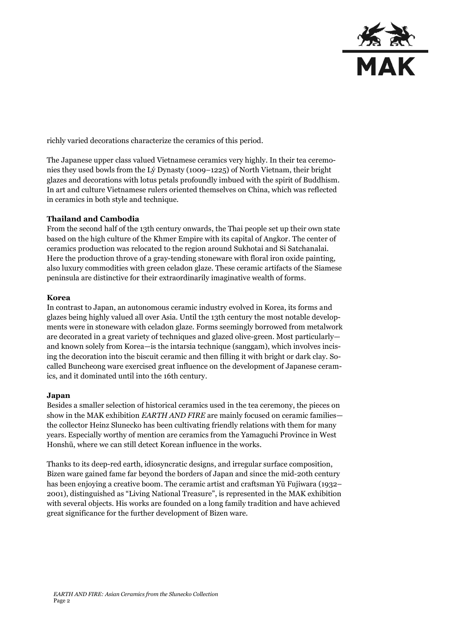

richly varied decorations characterize the ceramics of this period.

The Japanese upper class valued Vietnamese ceramics very highly. In their tea ceremonies they used bowls from the Lý Dynasty (1009–1225) of North Vietnam, their bright glazes and decorations with lotus petals profoundly imbued with the spirit of Buddhism. In art and culture Vietnamese rulers oriented themselves on China, which was reflected in ceramics in both style and technique.

### **Thailand and Cambodia**

From the second half of the 13th century onwards, the Thai people set up their own state based on the high culture of the Khmer Empire with its capital of Angkor. The center of ceramics production was relocated to the region around Sukhotai and Si Satchanalai. Here the production throve of a gray-tending stoneware with floral iron oxide painting, also luxury commodities with green celadon glaze. These ceramic artifacts of the Siamese peninsula are distinctive for their extraordinarily imaginative wealth of forms.

#### **Korea**

In contrast to Japan, an autonomous ceramic industry evolved in Korea, its forms and glazes being highly valued all over Asia. Until the 13th century the most notable developments were in stoneware with celadon glaze. Forms seemingly borrowed from metalwork are decorated in a great variety of techniques and glazed olive-green. Most particularly and known solely from Korea—is the intarsia technique (sanggam), which involves incising the decoration into the biscuit ceramic and then filling it with bright or dark clay. Socalled Buncheong ware exercised great influence on the development of Japanese ceramics, and it dominated until into the 16th century.

#### **Japan**

Besides a smaller selection of historical ceramics used in the tea ceremony, the pieces on show in the MAK exhibition *EARTH AND FIRE* are mainly focused on ceramic families the collector Heinz Slunecko has been cultivating friendly relations with them for many years. Especially worthy of mention are ceramics from the Yamaguchi Province in West Honshū, where we can still detect Korean influence in the works.

Thanks to its deep-red earth, idiosyncratic designs, and irregular surface composition, Bizen ware gained fame far beyond the borders of Japan and since the mid-20th century has been enjoying a creative boom. The ceramic artist and craftsman Yū Fujiwara (1932– 2001), distinguished as "Living National Treasure", is represented in the MAK exhibition with several objects. His works are founded on a long family tradition and have achieved great significance for the further development of Bizen ware.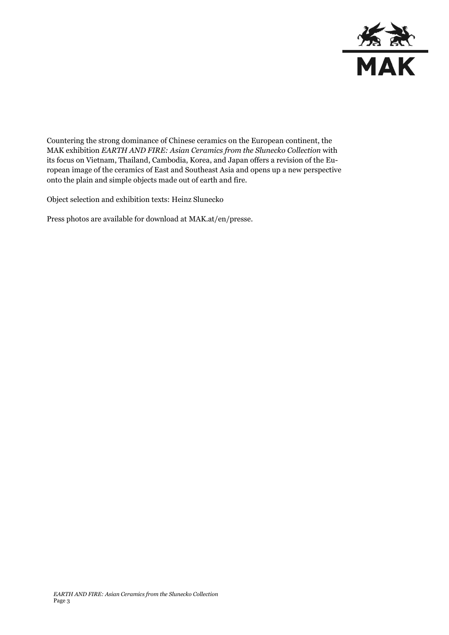

Countering the strong dominance of Chinese ceramics on the European continent, the MAK exhibition *EARTH AND FIRE: Asian Ceramics from the Slunecko Collection* with its focus on Vietnam, Thailand, Cambodia, Korea, and Japan offers a revision of the European image of the ceramics of East and Southeast Asia and opens up a new perspective onto the plain and simple objects made out of earth and fire.

Object selection and exhibition texts: Heinz Slunecko

Press photos are available for download at MAK.at/en/presse.